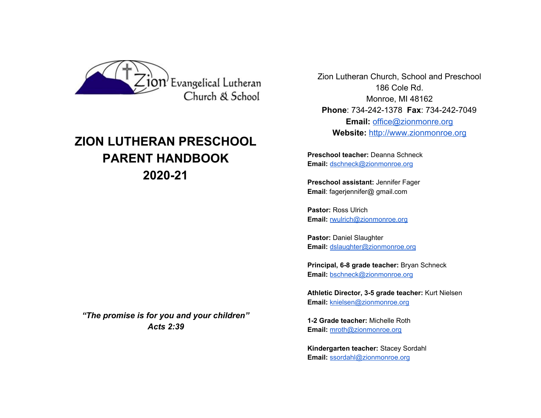

# **ZION LUTHERAN PRESCHOOL PARENT HANDBOOK 2020-21**

*"The promise is for you and your children" Acts 2:39*

 Zion Lutheran Church, School and Preschool 186 Cole Rd. Monroe, MI 48162 **Phone**: 734-242-1378 **Fax**: 734-242-7049 **Email:** [office@zionmonre.org](mailto:office@zionmonre.org) **Website:** [http://www.zionmonroe.org](http://www.zionmonroe.org/)

**Preschool teacher:** Deanna Schneck **Email:** [dschneck@zionmonroe.org](mailto:dschneck@zionmonroe.org)

**Preschool assistant:** Jennifer Fager **Email**: fagerjennifer@ gmail.com

**Pastor:** Ross Ulrich **Email:** [rwulrich@zionmonroe.org](mailto:rwulrich@zionmonroe.org)

**Pastor:** Daniel Slaughter **Email:** [dslaughter@zionmonroe.org](mailto:dslaughter@zionmonroe.org)

**Principal, 6-8 grade teacher:** Bryan Schneck **Email:** [bschneck@zionmonroe.org](mailto:bschneck@zionmonroe.org)

**Athletic Director, 3-5 grade teacher:** Kurt Nielsen **Email:** [knielsen@zionmonroe.org](mailto:knielsen@zionmonroe.org)

**1-2 Grade teacher:** Michelle Roth **Email:** [mroth@zionmonroe.org](mailto:mroth@zionmonroe.org)

**Kindergarten teacher:** Stacey Sordahl **Email:** [ssordahl@zionmonroe.org](mailto:ssordahl@zionmonroe.org)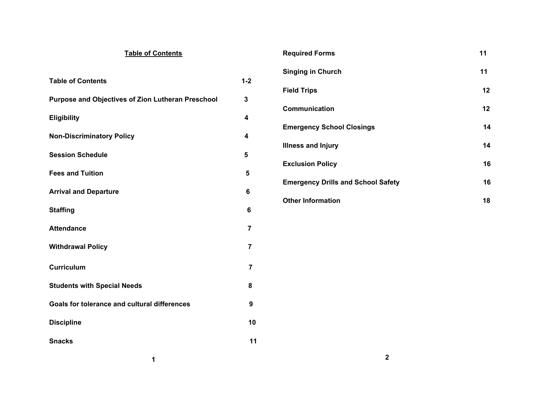| <b>Table of Contents</b>                          |                         | <b>Required Forms</b>                     | 11 |
|---------------------------------------------------|-------------------------|-------------------------------------------|----|
|                                                   |                         | <b>Singing in Church</b>                  | 11 |
| <b>Table of Contents</b>                          | $1 - 2$                 | <b>Field Trips</b>                        | 12 |
| Purpose and Objectives of Zion Lutheran Preschool | 3                       | Communication                             | 12 |
| <b>Eligibility</b>                                | $\overline{\mathbf{4}}$ | <b>Emergency School Closings</b>          | 14 |
| <b>Non-Discriminatory Policy</b>                  | $\overline{\mathbf{4}}$ |                                           | 14 |
| <b>Session Schedule</b>                           | $5\phantom{1}$          | <b>Illness and Injury</b>                 |    |
| <b>Fees and Tuition</b>                           | 5                       | <b>Exclusion Policy</b>                   | 16 |
| <b>Arrival and Departure</b>                      | 6                       | <b>Emergency Drills and School Safety</b> | 16 |
| <b>Staffing</b>                                   | 6                       | <b>Other Information</b>                  | 18 |
| <b>Attendance</b>                                 | $\overline{7}$          |                                           |    |
|                                                   |                         |                                           |    |
| <b>Withdrawal Policy</b>                          | $\overline{7}$          |                                           |    |
| Curriculum                                        | $\overline{7}$          |                                           |    |
| <b>Students with Special Needs</b>                | 8                       |                                           |    |
| Goals for tolerance and cultural differences      | $\boldsymbol{9}$        |                                           |    |
| <b>Discipline</b>                                 | 10                      |                                           |    |
| <b>Snacks</b>                                     | 11                      |                                           |    |
| 1                                                 |                         | $\mathbf{2}$                              |    |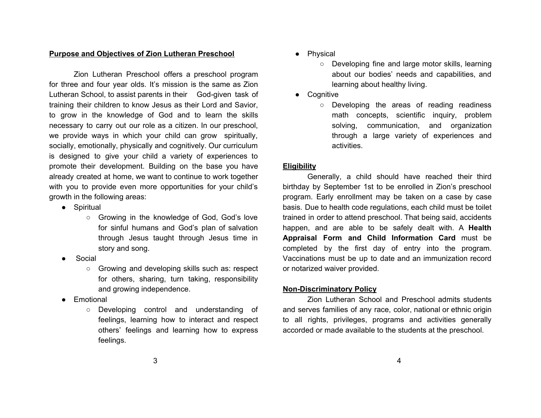## **Purpose and Objectives of Zion Lutheran Preschool**

Zion Lutheran Preschool offers a preschool program for three and four year olds. It's mission is the same as Zion Lutheran School, to assist parents in their God-given task of training their children to know Jesus as their Lord and Savior, to grow in the knowledge of God and to learn the skills necessary to carry out our role as a citizen. In our preschool, we provide ways in which your child can grow spiritually, socially, emotionally, physically and cognitively. Our curriculum is designed to give your child a variety of experiences to promote their development. Building on the base you have already created at home, we want to continue to work together with you to provide even more opportunities for your child's growth in the following areas:

- Spiritual
	- Growing in the knowledge of God, God's love for sinful humans and God's plan of salvation through Jesus taught through Jesus time in story and song.
- **Social** 
	- Growing and developing skills such as: respect for others, sharing, turn taking, responsibility and growing independence.
- Emotional
	- Developing control and understanding of feelings, learning how to interact and respect others' feelings and learning how to express feelings.
- Physical
	- Developing fine and large motor skills, learning about our bodies' needs and capabilities, and learning about healthy living.
- Cognitive
	- Developing the areas of reading readiness math concepts, scientific inquiry, problem solving, communication, and organization through a large variety of experiences and activities.

# **Eligibility**

Generally, a child should have reached their third birthday by September 1st to be enrolled in Zion's preschool program. Early enrollment may be taken on a case by case basis. Due to health code regulations, each child must be toilet trained in order to attend preschool. That being said, accidents happen, and are able to be safely dealt with. A **Health Appraisal Form and Child Information Card** must be completed by the first day of entry into the program. Vaccinations must be up to date and an immunization record or notarized waiver provided.

# **Non-Discriminatory Policy**

Zion Lutheran School and Preschool admits students and serves families of any race, color, national or ethnic origin to all rights, privileges, programs and activities generally accorded or made available to the students at the preschool.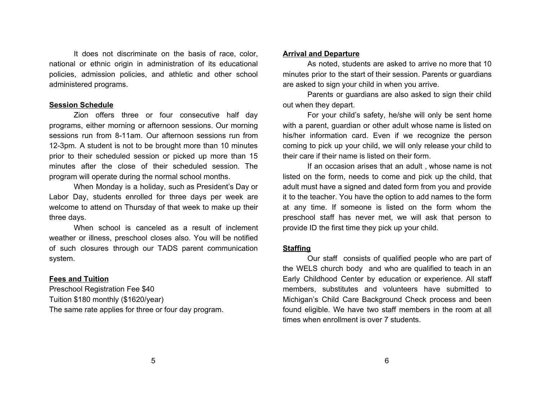It does not discriminate on the basis of race, color, national or ethnic origin in administration of its educational policies, admission policies, and athletic and other school administered programs.

#### **Session Schedule**

Zion offers three or four consecutive half day programs, either morning or afternoon sessions. Our morning sessions run from 8-11am. Our afternoon sessions run from 12-3pm. A student is not to be brought more than 10 minutes prior to their scheduled session or picked up more than 15 minutes after the close of their scheduled session. The program will operate during the normal school months.

When Monday is a holiday, such as President's Day or Labor Day, students enrolled for three days per week are welcome to attend on Thursday of that week to make up their three days.

When school is canceled as a result of inclement weather or illness, preschool closes also. You will be notified of such closures through our TADS parent communication system.

#### **Fees and Tuition**

Preschool Registration Fee \$40 Tuition \$180 monthly (\$1620/year) The same rate applies for three or four day program.

#### **Arrival and Departure**

As noted, students are asked to arrive no more that 10 minutes prior to the start of their session. Parents or guardians are asked to sign your child in when you arrive.

Parents or guardians are also asked to sign their child out when they depart.

For your child's safety, he/she will only be sent home with a parent, guardian or other adult whose name is listed on his/her information card. Even if we recognize the person coming to pick up your child, we will only release your child to their care if their name is listed on their form.

If an occasion arises that an adult , whose name is not listed on the form, needs to come and pick up the child, that adult must have a signed and dated form from you and provide it to the teacher. You have the option to add names to the form at any time. If someone is listed on the form whom the preschool staff has never met, we will ask that person to provide ID the first time they pick up your child.

#### **Staffing**

Our staff consists of qualified people who are part of the WELS church body and who are qualified to teach in an Early Childhood Center by education or experience. All staff members, substitutes and volunteers have submitted to Michigan's Child Care Background Check process and been found eligible. We have two staff members in the room at all times when enrollment is over 7 students.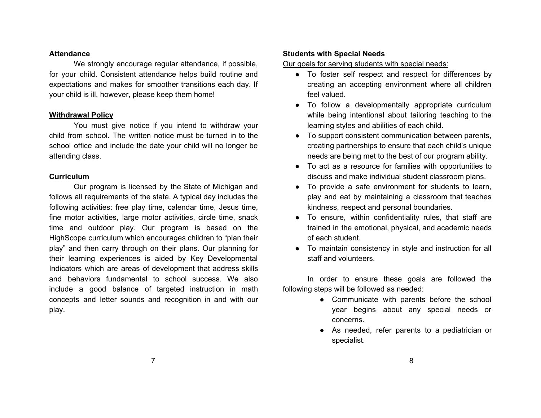#### **Attendance**

We strongly encourage regular attendance, if possible, for your child. Consistent attendance helps build routine and expectations and makes for smoother transitions each day. If your child is ill, however, please keep them home!

#### **Withdrawal Policy**

You must give notice if you intend to withdraw your child from school. The written notice must be turned in to the school office and include the date your child will no longer be attending class.

#### **Curriculum**

Our program is licensed by the State of Michigan and follows all requirements of the state. A typical day includes the following activities: free play time, calendar time, Jesus time, fine motor activities, large motor activities, circle time, snack time and outdoor play. Our program is based on the HighScope curriculum which encourages children to "plan their play" and then carry through on their plans. Our planning for their learning experiences is aided by Key Developmental Indicators which are areas of development that address skills and behaviors fundamental to school success. We also include a good balance of targeted instruction in math concepts and letter sounds and recognition in and with our play.

## **Students with Special Needs**

Our goals for serving students with special needs:

- To foster self respect and respect for differences by creating an accepting environment where all children feel valued.
- To follow a developmentally appropriate curriculum while being intentional about tailoring teaching to the learning styles and abilities of each child.
- To support consistent communication between parents, creating partnerships to ensure that each child's unique needs are being met to the best of our program ability.
- To act as a resource for families with opportunities to discuss and make individual student classroom plans.
- To provide a safe environment for students to learn, play and eat by maintaining a classroom that teaches kindness, respect and personal boundaries.
- To ensure, within confidentiality rules, that staff are trained in the emotional, physical, and academic needs of each student.
- To maintain consistency in style and instruction for all staff and volunteers.

In order to ensure these goals are followed the following steps will be followed as needed:

- Communicate with parents before the school year begins about any special needs or concerns.
- As needed, refer parents to a pediatrician or specialist.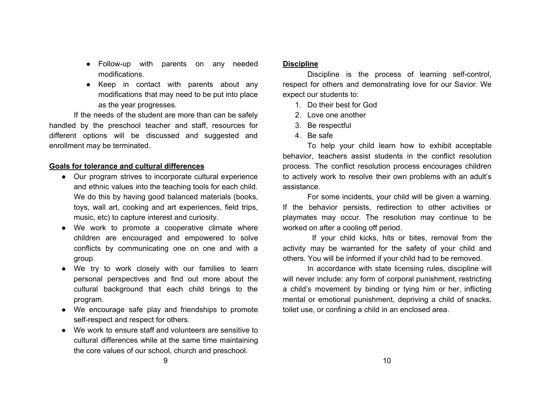- Follow-up with parents on any needed modifications.
- Keep in contact with parents about any modifications that may need to be put into place as the year progresses.

If the needs of the student are more than can be safely handled by the preschool teacher and staff, resources for different options will be discussed and suggested and enrollment may be terminated.

## **Goals for tolerance and cultural differences**

- Our program strives to incorporate cultural experience and ethnic values into the teaching tools for each child. We do this by having good balanced materials (books, toys, wall art, cooking and art experiences, field trips, music, etc) to capture interest and curiosity.
- We work to promote a cooperative climate where children are encouraged and empowered to solve conflicts by communicating one on one and with a group.
- We try to work closely with our families to learn personal perspectives and find out more about the cultural background that each child brings to the program.
- We encourage safe play and friendships to promote self-respect and respect for others.
- We work to ensure staff and volunteers are sensitive to cultural differences while at the same time maintaining the core values of our school, church and preschool.

#### **Discipline**

Discipline is the process of learning self-control, respect for others and demonstrating love for our Savior. We expect our students to:

- 1. Do their best for God
- 2. Love one another
- 3. Be respectful
- 4. Be safe

To help your child learn how to exhibit acceptable behavior, teachers assist students in the conflict resolution process. The conflict resolution process encourages children to actively work to resolve their own problems with an adult's assistance.

For some incidents, your child will be given a warning. If the behavior persists, redirection to other activities or playmates may occur. The resolution may continue to be worked on after a cooling off period.

If your child kicks, hits or bites, removal from the activity may be warranted for the safety of your child and others. You will be informed if your child had to be removed.

In accordance with state licensing rules, discipline will will never include: any form of corporal punishment, restricting a child's movement by binding or tying him or her, inflicting mental or emotional punishment, depriving a child of snacks, toilet use, or confining a child in an enclosed area.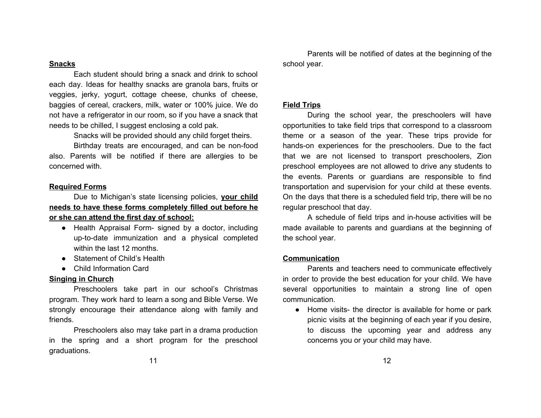#### **Snacks**

Each student should bring a snack and drink to school each day. Ideas for healthy snacks are granola bars, fruits or veggies, jerky, yogurt, cottage cheese, chunks of cheese, baggies of cereal, crackers, milk, water or 100% juice. We do not have a refrigerator in our room, so if you have a snack that needs to be chilled, I suggest enclosing a cold pak.

Snacks will be provided should any child forget theirs.

Birthday treats are encouraged, and can be non-food also. Parents will be notified if there are allergies to be concerned with.

#### **Required Forms**

Due to Michigan's state licensing policies, **your child needs to have these forms completely filled out before he or she can attend the first day of school:**

- Health Appraisal Form- signed by a doctor, including up-to-date immunization and a physical completed within the last 12 months.
- Statement of Child's Health
- Child Information Card

## **Singing in Church**

Preschoolers take part in our school's Christmas program. They work hard to learn a song and Bible Verse. We strongly encourage their attendance along with family and friends.

Preschoolers also may take part in a drama production in the spring and a short program for the preschool graduations.

Parents will be notified of dates at the beginning of the school year.

#### **Field Trips**

During the school year, the preschoolers will have opportunities to take field trips that correspond to a classroom theme or a season of the year. These trips provide for hands-on experiences for the preschoolers. Due to the fact that we are not licensed to transport preschoolers, Zion preschool employees are not allowed to drive any students to the events. Parents or guardians are responsible to find transportation and supervision for your child at these events. On the days that there is a scheduled field trip, there will be no regular preschool that day.

A schedule of field trips and in-house activities will be made available to parents and guardians at the beginning of the school year.

#### **Communication**

Parents and teachers need to communicate effectively in order to provide the best education for your child. We have several opportunities to maintain a strong line of open communication.

● Home visits- the director is available for home or park picnic visits at the beginning of each year if you desire, to discuss the upcoming year and address any concerns you or your child may have.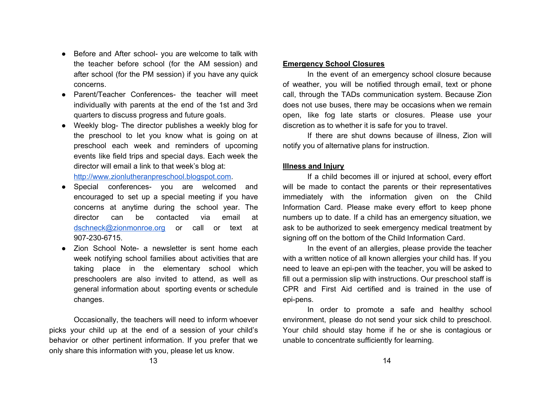- Before and After school- you are welcome to talk with the teacher before school (for the AM session) and after school (for the PM session) if you have any quick concerns.
- **Parent/Teacher Conferences- the teacher will meet** individually with parents at the end of the 1st and 3rd quarters to discuss progress and future goals.
- Weekly blog- The director publishes a weekly blog for the preschool to let you know what is going on at preschool each week and reminders of upcoming events like field trips and special days. Each week the director will email a link to that week's blog at: [http://www.zionlutheranpreschool.blogspot.com](http://www.zionlutheranpreschool.blogspot.com/).
- Special conferences- you are welcomed and encouraged to set up a special meeting if you have concerns at anytime during the school year. The director can be contacted via email at [dschneck@zionmonroe.org](mailto:dschneck@zionmonroe.org) or call or text at 907-230-6715.
- Zion School Note- a newsletter is sent home each week notifying school families about activities that are taking place in the elementary school which preschoolers are also invited to attend, as well as general information about sporting events or schedule changes.

Occasionally, the teachers will need to inform whoever picks your child up at the end of a session of your child's behavior or other pertinent information. If you prefer that we only share this information with you, please let us know.

#### **Emergency School Closures**

In the event of an emergency school closure because of weather, you will be notified through email, text or phone call, through the TADs communication system. Because Zion does not use buses, there may be occasions when we remain open, like fog late starts or closures. Please use your discretion as to whether it is safe for you to travel.

If there are shut downs because of illness, Zion will notify you of alternative plans for instruction.

## **Illness and Injury**

If a child becomes ill or injured at school, every effort will be made to contact the parents or their representatives immediately with the information given on the Child Information Card. Please make every effort to keep phone numbers up to date. If a child has an emergency situation, we ask to be authorized to seek emergency medical treatment by signing off on the bottom of the Child Information Card.

In the event of an allergies, please provide the teacher with a written notice of all known allergies your child has. If you need to leave an epi-pen with the teacher, you will be asked to fill out a permission slip with instructions. Our preschool staff is CPR and First Aid certified and is trained in the use of epi-pens.

In order to promote a safe and healthy school environment, please do not send your sick child to preschool. Your child should stay home if he or she is contagious or unable to concentrate sufficiently for learning.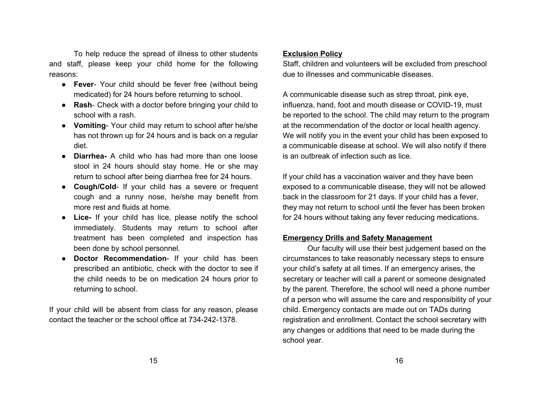To help reduce the spread of illness to other students and staff, please keep your child home for the following reasons:

- **● Fever** Your child should be fever free (without being medicated) for 24 hours before returning to school.
- **● Rash** Check with a doctor before bringing your child to school with a rash.
- **● Vomiting** Your child may return to school after he/she has not thrown up for 24 hours and is back on a regular diet.
- **● Diarrhea-** A child who has had more than one loose stool in 24 hours should stay home. He or she may return to school after being diarrhea free for 24 hours.
- **● Cough/Cold** If your child has a severe or frequent cough and a runny nose, he/she may benefit from more rest and fluids at home.
- **● Lice-** If your child has lice, please notify the school immediately. Students may return to school after treatment has been completed and inspection has been done by school personnel.
- **● Doctor Recommendation** If your child has been prescribed an antibiotic, check with the doctor to see if the child needs to be on medication 24 hours prior to returning to school.

If your child will be absent from class for any reason, please contact the teacher or the school office at 734-242-1378.

## **Exclusion Policy**

Staff, children and volunteers will be excluded from preschool due to illnesses and communicable diseases.

A communicable disease such as strep throat, pink eye, influenza, hand, foot and mouth disease or COVID-19, must be reported to the school. The child may return to the program at the recommendation of the doctor or local health agency. We will notify you in the event your child has been exposed to a communicable disease at school. We will also notify if there is an outbreak of infection such as lice.

If your child has a vaccination waiver and they have been exposed to a communicable disease, they will not be allowed back in the classroom for 21 days. If your child has a fever, they may not return to school until the fever has been broken for 24 hours without taking any fever reducing medications.

## **Emergency Drills and Safety Management**

Our faculty will use their best judgement based on the circumstances to take reasonably necessary steps to ensure your child's safety at all times. If an emergency arises, the secretary or teacher will call a parent or someone designated by the parent. Therefore, the school will need a phone number of a person who will assume the care and responsibility of your child. Emergency contacts are made out on TADs during registration and enrollment. Contact the school secretary with any changes or additions that need to be made during the school year.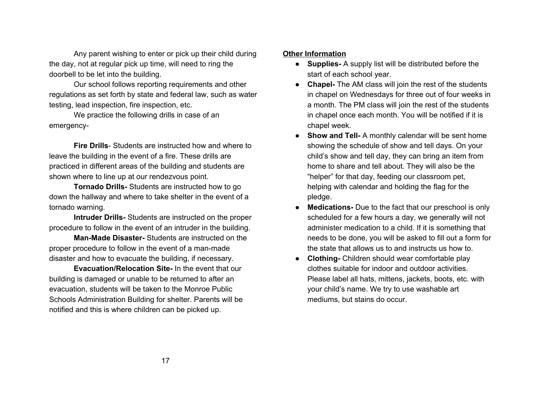Any parent wishing to enter or pick up their child during the day, not at regular pick up time, will need to ring the doorbell to be let into the building.

Our school follows reporting requirements and other regulations as set forth by state and federal law, such as water testing, lead inspection, fire inspection, etc.

We practice the following drills in case of an emergency-

**Fire Drills**- Students are instructed how and where to leave the building in the event of a fire. These drills are practiced in different areas of the building and students are shown where to line up at our rendezvous point.

**Tornado Drills-** Students are instructed how to go down the hallway and where to take shelter in the event of a tornado warning.

**Intruder Drills-** Students are instructed on the proper procedure to follow in the event of an intruder in the building.

**Man-Made Disaster-** Students are instructed on the proper procedure to follow in the event of a man-made disaster and how to evacuate the building, if necessary.

**Evacuation/Relocation Site-** In the event that our building is damaged or unable to be returned to after an evacuation, students will be taken to the Monroe Public Schools Administration Building for shelter. Parents will be notified and this is where children can be picked up.

## **Other Information**

- **● Supplies-** A supply list will be distributed before the start of each school year.
- **● Chapel-** The AM class will join the rest of the students in chapel on Wednesdays for three out of four weeks in a month. The PM class will join the rest of the students in chapel once each month. You will be notified if it is chapel week.
- **Show and Tell-** A monthly calendar will be sent home showing the schedule of show and tell days. On your child's show and tell day, they can bring an item from home to share and tell about. They will also be the "helper" for that day, feeding our classroom pet, helping with calendar and holding the flag for the pledge.
- **Medications-** Due to the fact that our preschool is only scheduled for a few hours a day, we generally will not administer medication to a child. If it is something that needs to be done, you will be asked to fill out a form for the state that allows us to and instructs us how to.
- **● Clothing-** Children should wear comfortable play clothes suitable for indoor and outdoor activities. Please label all hats, mittens, jackets, boots, etc. with your child's name. We try to use washable art mediums, but stains do occur.